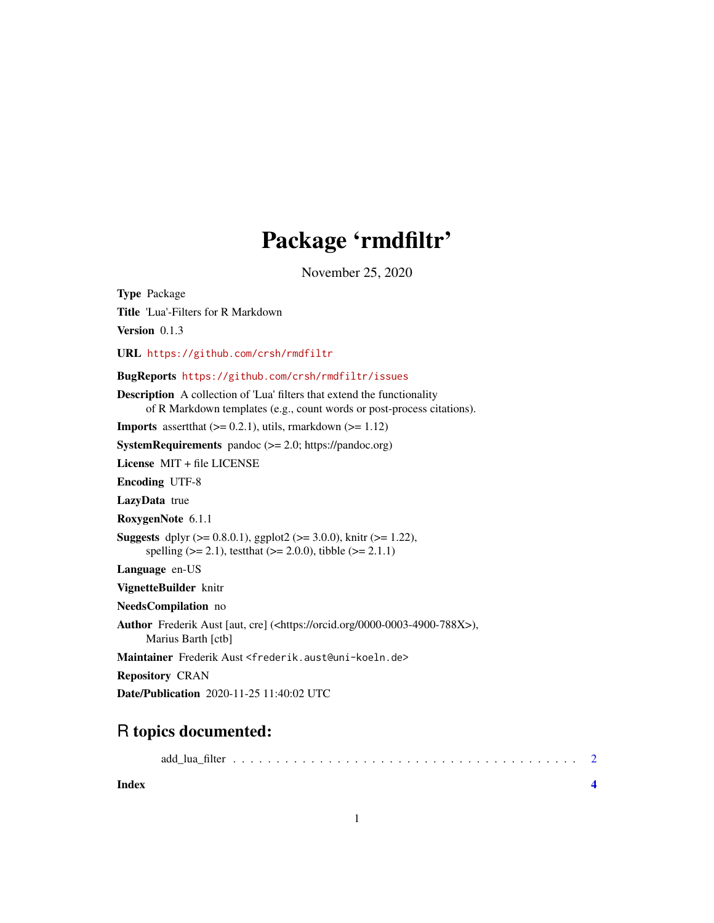## Package 'rmdfiltr'

November 25, 2020

Type Package Title 'Lua'-Filters for R Markdown Version 0.1.3 URL <https://github.com/crsh/rmdfiltr> BugReports <https://github.com/crsh/rmdfiltr/issues> Description A collection of 'Lua' filters that extend the functionality of R Markdown templates (e.g., count words or post-process citations). **Imports** assert that  $(>= 0.2.1)$ , utils, rmarkdown  $(>= 1.12)$ SystemRequirements pandoc  $(>= 2.0;$  https://pandoc.org) License MIT + file LICENSE Encoding UTF-8 LazyData true RoxygenNote 6.1.1 **Suggests** dplyr ( $>= 0.8.0.1$ ), ggplot2 ( $>= 3.0.0$ ), knitr ( $>= 1.22$ ), spelling ( $>= 2.1$ ), testthat ( $>= 2.0.0$ ), tibble ( $>= 2.1.1$ ) Language en-US VignetteBuilder knitr NeedsCompilation no Author Frederik Aust [aut, cre] (<https://orcid.org/0000-0003-4900-788X>), Marius Barth [ctb] Maintainer Frederik Aust <frederik.aust@uni-koeln.de> Repository CRAN Date/Publication 2020-11-25 11:40:02 UTC

### R topics documented:

| Index |  |  |  |  |  |  |  |  |  |  |  |  |  |  |
|-------|--|--|--|--|--|--|--|--|--|--|--|--|--|--|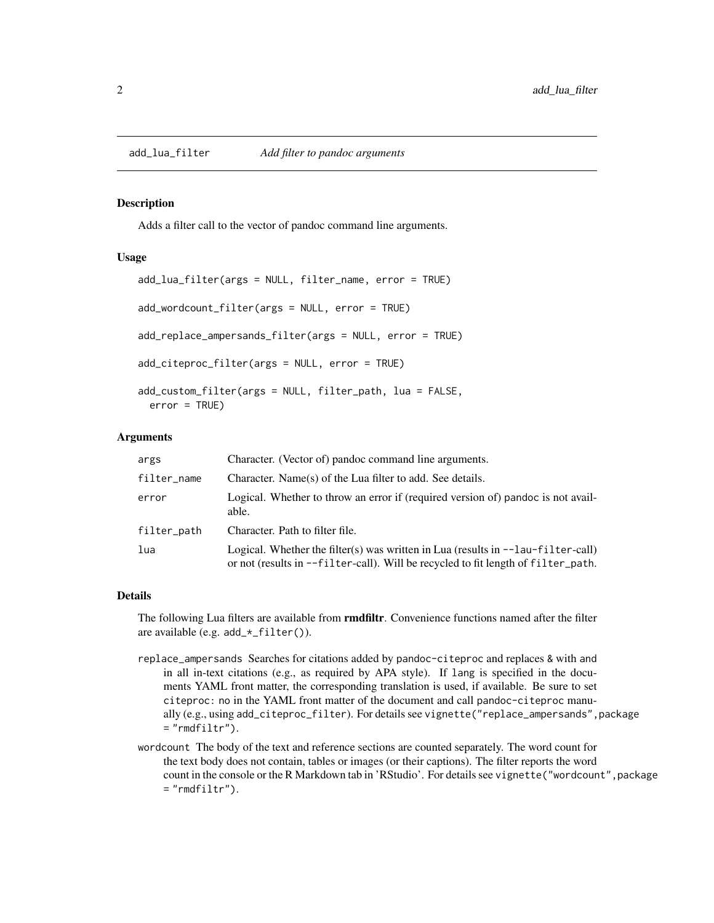<span id="page-1-0"></span>

#### Description

Adds a filter call to the vector of pandoc command line arguments.

#### Usage

```
add_lua_filter(args = NULL, filter_name, error = TRUE)
add_wordcount_filter(args = NULL, error = TRUE)
add_replace_ampersands_filter(args = NULL, error = TRUE)
add_citeproc_filter(args = NULL, error = TRUE)
add_custom_filter(args = NULL, filter_path, lua = FALSE,
 error = TRUE)
```
#### Arguments

| args        | Character. (Vector of) pandoc command line arguments.                                                                                                                                      |
|-------------|--------------------------------------------------------------------------------------------------------------------------------------------------------------------------------------------|
| filter_name | Character. Name(s) of the Lua filter to add. See details.                                                                                                                                  |
| error       | Logical. Whether to throw an error if (required version of) pandoc is not avail-<br>able.                                                                                                  |
| filter_path | Character. Path to filter file.                                                                                                                                                            |
| lua         | Logical. Whether the filter(s) was written in Lua (results in $-\text{-}1$ au- $\text{filter-call}$ )<br>or not (results in --filter-call). Will be recycled to fit length of filter_path. |

#### Details

The following Lua filters are available from **rmdfiltr**. Convenience functions named after the filter are available (e.g. add\_\*\_filter()).

- replace\_ampersands Searches for citations added by pandoc-citeproc and replaces & with and in all in-text citations (e.g., as required by APA style). If lang is specified in the documents YAML front matter, the corresponding translation is used, if available. Be sure to set citeproc: no in the YAML front matter of the document and call pandoc-citeproc manually (e.g., using add\_citeproc\_filter). For details see vignette("replace\_ampersands",package  $=$  "rmdfiltr").
- wordcount The body of the text and reference sections are counted separately. The word count for the text body does not contain, tables or images (or their captions). The filter reports the word count in the console or the R Markdown tab in 'RStudio'. For details see vignette("wordcount", package  $=$  "rmdfiltr").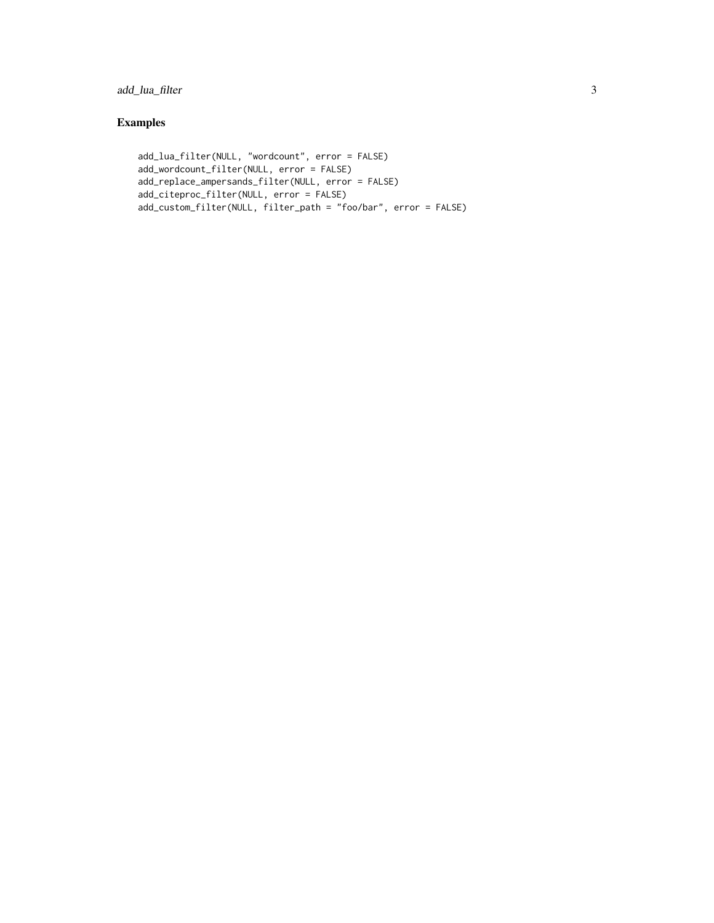#### add\_lua\_filter 3

#### Examples

```
add_lua_filter(NULL, "wordcount", error = FALSE)
add_wordcount_filter(NULL, error = FALSE)
add_replace_ampersands_filter(NULL, error = FALSE)
add_citeproc_filter(NULL, error = FALSE)
add_custom_filter(NULL, filter_path = "foo/bar", error = FALSE)
```